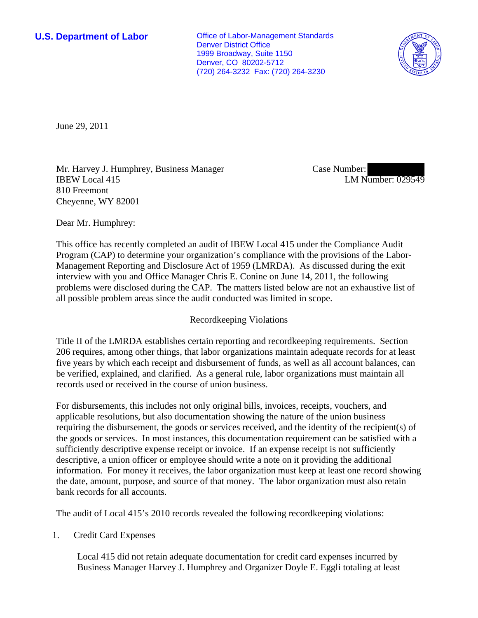**U.S. Department of Labor Conservative Conservative Conservative Conservative Conservative Conservative Conservative Conservative Conservative Conservative Conservative Conservative Conservative Conservative Conservative** Denver District Office 1999 Broadway, Suite 1150 Denver, CO 80202-5712 (720) 264-3232 Fax: (720) 264-3230



June 29, 2011

Mr. Harvey J. Humphrey, Business Manager IBEW Local 415 810 Freemont Cheyenne, WY 82001

Case Number: LM Number: 029549

Dear Mr. Humphrey:

This office has recently completed an audit of IBEW Local 415 under the Compliance Audit Program (CAP) to determine your organization's compliance with the provisions of the Labor-Management Reporting and Disclosure Act of 1959 (LMRDA). As discussed during the exit interview with you and Office Manager Chris E. Conine on June 14, 2011, the following problems were disclosed during the CAP. The matters listed below are not an exhaustive list of all possible problem areas since the audit conducted was limited in scope.

# Recordkeeping Violations

Title II of the LMRDA establishes certain reporting and recordkeeping requirements. Section 206 requires, among other things, that labor organizations maintain adequate records for at least five years by which each receipt and disbursement of funds, as well as all account balances, can be verified, explained, and clarified. As a general rule, labor organizations must maintain all records used or received in the course of union business.

For disbursements, this includes not only original bills, invoices, receipts, vouchers, and applicable resolutions, but also documentation showing the nature of the union business requiring the disbursement, the goods or services received, and the identity of the recipient(s) of the goods or services. In most instances, this documentation requirement can be satisfied with a sufficiently descriptive expense receipt or invoice. If an expense receipt is not sufficiently descriptive, a union officer or employee should write a note on it providing the additional information. For money it receives, the labor organization must keep at least one record showing the date, amount, purpose, and source of that money. The labor organization must also retain bank records for all accounts.

The audit of Local 415's 2010 records revealed the following recordkeeping violations:

1. Credit Card Expenses

Local 415 did not retain adequate documentation for credit card expenses incurred by Business Manager Harvey J. Humphrey and Organizer Doyle E. Eggli totaling at least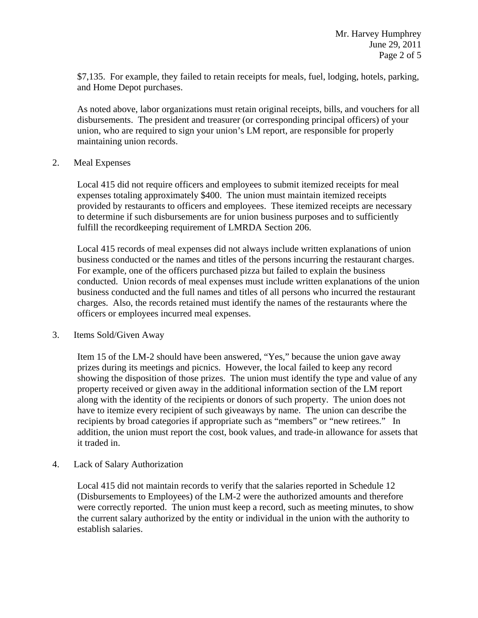\$7,135. For example, they failed to retain receipts for meals, fuel, lodging, hotels, parking, and Home Depot purchases.

As noted above, labor organizations must retain original receipts, bills, and vouchers for all disbursements. The president and treasurer (or corresponding principal officers) of your union, who are required to sign your union's LM report, are responsible for properly maintaining union records.

## 2. Meal Expenses

Local 415 did not require officers and employees to submit itemized receipts for meal expenses totaling approximately \$400. The union must maintain itemized receipts provided by restaurants to officers and employees. These itemized receipts are necessary to determine if such disbursements are for union business purposes and to sufficiently fulfill the recordkeeping requirement of LMRDA Section 206.

Local 415 records of meal expenses did not always include written explanations of union business conducted or the names and titles of the persons incurring the restaurant charges. For example, one of the officers purchased pizza but failed to explain the business conducted. Union records of meal expenses must include written explanations of the union business conducted and the full names and titles of all persons who incurred the restaurant charges. Also, the records retained must identify the names of the restaurants where the officers or employees incurred meal expenses.

## 3. Items Sold/Given Away

Item 15 of the LM-2 should have been answered, "Yes," because the union gave away prizes during its meetings and picnics. However, the local failed to keep any record showing the disposition of those prizes. The union must identify the type and value of any property received or given away in the additional information section of the LM report along with the identity of the recipients or donors of such property. The union does not have to itemize every recipient of such giveaways by name. The union can describe the recipients by broad categories if appropriate such as "members" or "new retirees." In addition, the union must report the cost, book values, and trade-in allowance for assets that it traded in.

4. Lack of Salary Authorization

Local 415 did not maintain records to verify that the salaries reported in Schedule 12 (Disbursements to Employees) of the LM-2 were the authorized amounts and therefore were correctly reported. The union must keep a record, such as meeting minutes, to show the current salary authorized by the entity or individual in the union with the authority to establish salaries.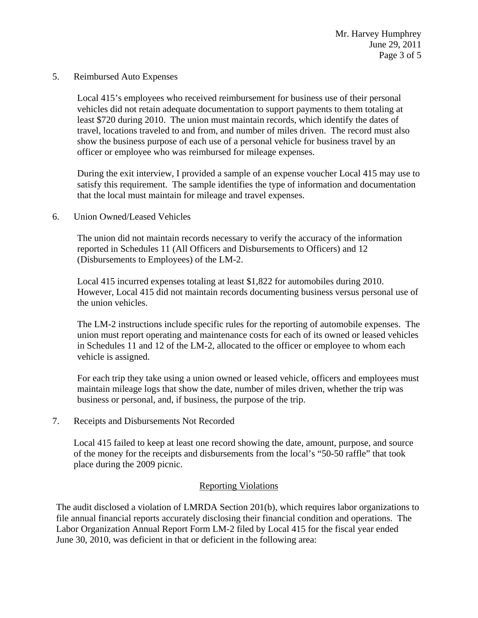5. Reimbursed Auto Expenses

Local 415's employees who received reimbursement for business use of their personal vehicles did not retain adequate documentation to support payments to them totaling at least \$720 during 2010. The union must maintain records, which identify the dates of travel, locations traveled to and from, and number of miles driven. The record must also show the business purpose of each use of a personal vehicle for business travel by an officer or employee who was reimbursed for mileage expenses.

During the exit interview, I provided a sample of an expense voucher Local 415 may use to satisfy this requirement. The sample identifies the type of information and documentation that the local must maintain for mileage and travel expenses.

6. Union Owned/Leased Vehicles

The union did not maintain records necessary to verify the accuracy of the information reported in Schedules 11 (All Officers and Disbursements to Officers) and 12 (Disbursements to Employees) of the LM-2.

Local 415 incurred expenses totaling at least \$1,822 for automobiles during 2010. However, Local 415 did not maintain records documenting business versus personal use of the union vehicles.

The LM-2 instructions include specific rules for the reporting of automobile expenses. The union must report operating and maintenance costs for each of its owned or leased vehicles in Schedules 11 and 12 of the LM-2, allocated to the officer or employee to whom each vehicle is assigned.

For each trip they take using a union owned or leased vehicle, officers and employees must maintain mileage logs that show the date, number of miles driven, whether the trip was business or personal, and, if business, the purpose of the trip.

7. Receipts and Disbursements Not Recorded

Local 415 failed to keep at least one record showing the date, amount, purpose, and source of the money for the receipts and disbursements from the local's "50-50 raffle" that took place during the 2009 picnic.

# Reporting Violations

The audit disclosed a violation of LMRDA Section 201(b), which requires labor organizations to file annual financial reports accurately disclosing their financial condition and operations. The Labor Organization Annual Report Form LM-2 filed by Local 415 for the fiscal year ended June 30, 2010, was deficient in that or deficient in the following area: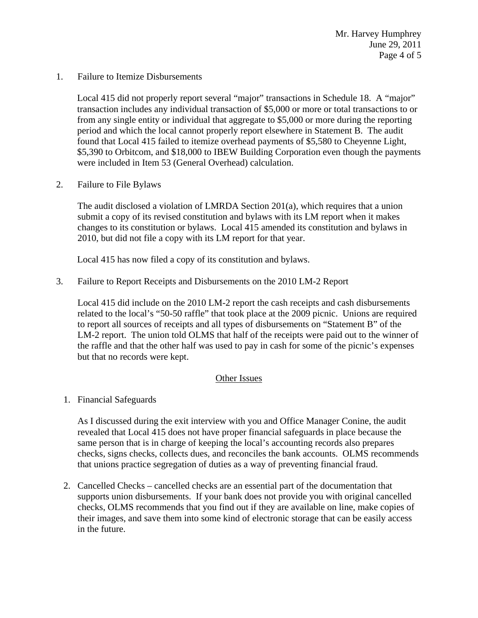1. Failure to Itemize Disbursements

Local 415 did not properly report several "major" transactions in Schedule 18. A "major" transaction includes any individual transaction of \$5,000 or more or total transactions to or from any single entity or individual that aggregate to \$5,000 or more during the reporting period and which the local cannot properly report elsewhere in Statement B. The audit found that Local 415 failed to itemize overhead payments of \$5,580 to Cheyenne Light, \$5,390 to Orbitcom, and \$18,000 to IBEW Building Corporation even though the payments were included in Item 53 (General Overhead) calculation.

2. Failure to File Bylaws

The audit disclosed a violation of LMRDA Section 201(a), which requires that a union submit a copy of its revised constitution and bylaws with its LM report when it makes changes to its constitution or bylaws. Local 415 amended its constitution and bylaws in 2010, but did not file a copy with its LM report for that year.

Local 415 has now filed a copy of its constitution and bylaws.

3. Failure to Report Receipts and Disbursements on the 2010 LM-2 Report

Local 415 did include on the 2010 LM-2 report the cash receipts and cash disbursements related to the local's "50-50 raffle" that took place at the 2009 picnic. Unions are required to report all sources of receipts and all types of disbursements on "Statement B" of the LM-2 report. The union told OLMS that half of the receipts were paid out to the winner of the raffle and that the other half was used to pay in cash for some of the picnic's expenses but that no records were kept.

# Other Issues

1. Financial Safeguards

As I discussed during the exit interview with you and Office Manager Conine, the audit revealed that Local 415 does not have proper financial safeguards in place because the same person that is in charge of keeping the local's accounting records also prepares checks, signs checks, collects dues, and reconciles the bank accounts. OLMS recommends that unions practice segregation of duties as a way of preventing financial fraud.

2. Cancelled Checks – cancelled checks are an essential part of the documentation that supports union disbursements. If your bank does not provide you with original cancelled checks, OLMS recommends that you find out if they are available on line, make copies of their images, and save them into some kind of electronic storage that can be easily access in the future.